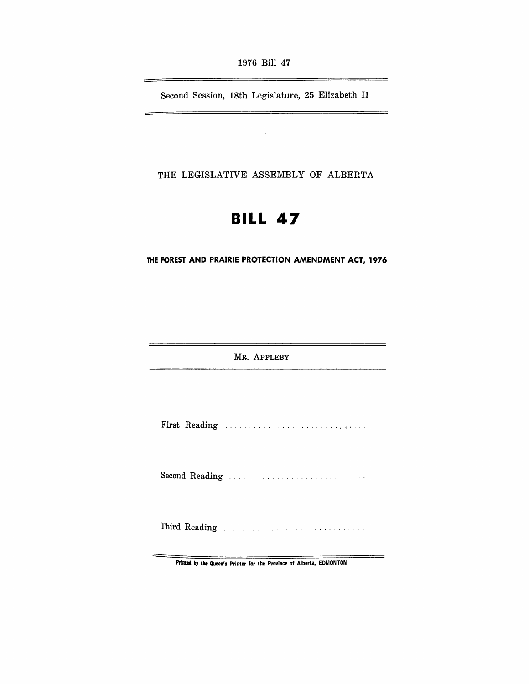1976 Bill 47

Second Session, 18th Legislature, 25 Elizabeth II

 $\bar{z}$ 

THE LEGISLATIVE ASSEMBLY OF ALBERTA

# **BILL 47**

**THE FOREST AND PRAIRIE PROfECTION AMENDMENT ACT, 1976** 

MR. ApPLEBY

 $\overline{\phantom{a}}$ 

First Reading ..... ....................,....

Second Reading ......... ... .

Third Reading .....

Printed by the Queen's Printer for the Province of Alberta, EDMONTON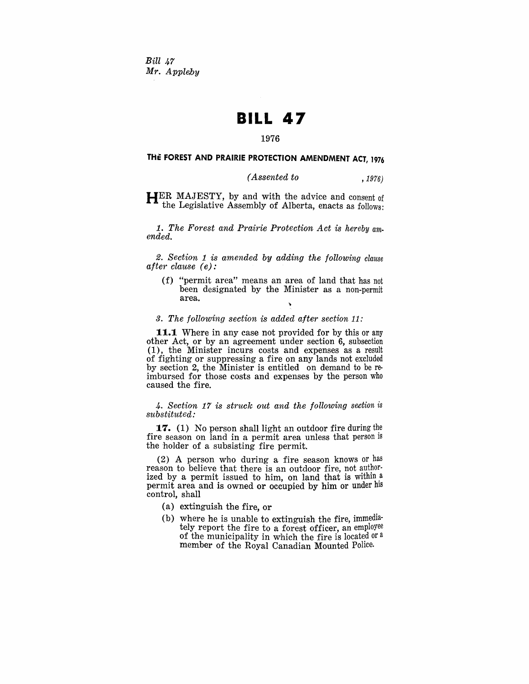*Bill 47 Mr. Appleby* 

## **BILL 47**

#### 1976

## THE FOREST AND PRAIRIE PROTECTION AMENDMENT ACT, 1976

### *(Assented to* , 1976)

 $H<sup>ER</sup>$  MAJESTY, by and with the advice and consent of the Legislative Assembly of Alberta, enacts as follows:

1. *The Forest and Prairie Protection Act is hereby am. ended.* 

*2. Section* 1 *is amended by adding the following clause after clause (e):* 

(f) "permit area" means an area of land that has not been designated by the Minister as a non-permit area.

## *3. The following section is added after section* 11,'

**11.1** Where in any case not provided for by this or any other Act, or by an agreement under section 6, subsection (1), the Minister incurs costs and expenses as a result of fighting or suppressing a fire on any lands not excluded by section 2, the Minister is entitled on demand to be reimbursed for those costs and expenses by the person who caused the fire.

4. Section 17 is struck out and the following section is *substituted:* 

**17.** (1) No person shall light an outdoor fire during the fire season on land in a permit area unless that person is the holder of a subsisting fire permit.

(2) A person who during a fire season knows or has reason to believe that there is an outdoor fire, not authorized by a permit issued to him, on land that is within a permit area and is owned or occupied by him or under his control, shall

- (a) extinguish the fire, or
- (b) where he is unable to extinguish the fire, immediately report the fire to a forest officer, an employee of the municipality in which the fire is located or a member of the Royal Canadian Mounted Police.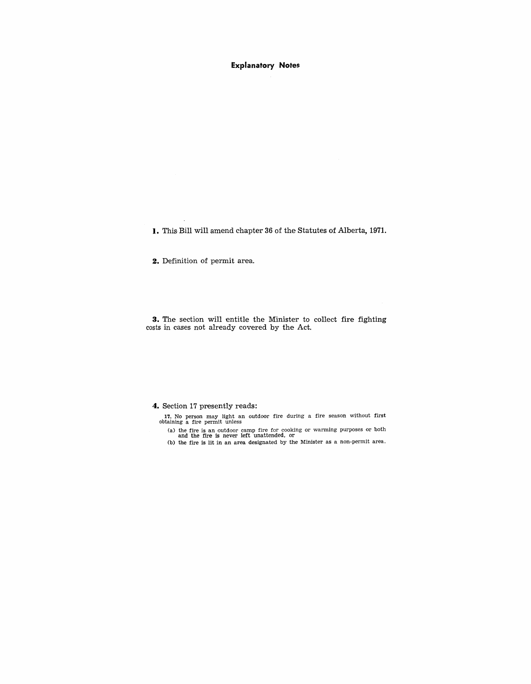Explanatory Notes

**I.** This Bill will amend chapter 36 of the Statutes of Alberta, 1971.

**2.** Definition of permit area.

**3.** The section will entitle the Minister to collect fire fighting costs in cases not already covered by the Act.

**4.** Section 17 presently reads:

17. No person may light an outdoor fire during a fire season without first obtaining a fire permit unless

(a) the fire is an outdoor camp fire for cooking or warming purposes or both and the fire is never left unattended, or (b) the fire is lit in an area designated by the Minister as a non-permit area.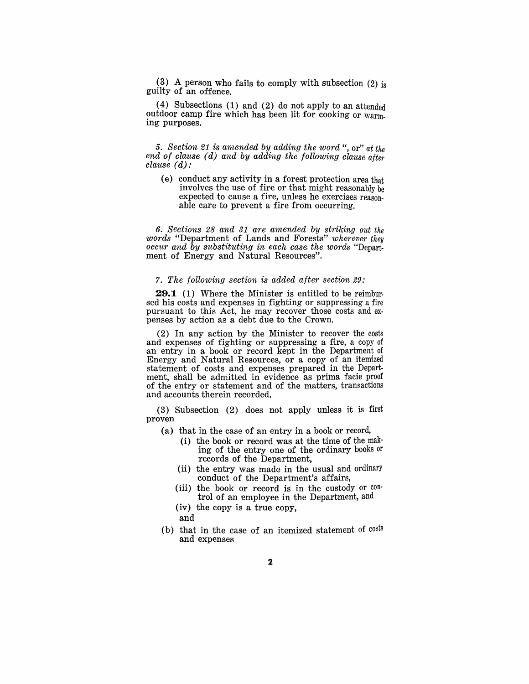(3) A person who fails to comply with subsection  $(2)$  is guilty of an offence.

(4) Subsections (1) and (2) do not apply to an attended outdoor camp fire which has been lit for cooking or warm. ing purposes.

*5. Section* 21 is *amended by adding the word* ", or" *at the end of clause (d) and by adding the following clause after clause (d):* 

(e) conduct any activity in a forest protection area that involves the use of fire or that might reasonably be expected to cause a fire, unless he exercises reason. able care to prevent a fire from occurring.

6. *Sections* 28 *and* 31 *are amended by striking out the words* "Department of Lands and Forests" *wherever they occur and by substituting in each case. the words* "Depart· ment of Energy and Natural Resources".

#### *7. The following section is added after section* 29:

**29.1** (1) Where the Minister is entitled to be reimbursed his costs and expenses in fighting or suppressing a fire pursuant to this Act, he may recover those costs and expenses by action as a debt due to the Crown.

(2) In any action by the Minister to recover the costs and expenses of fighting or suppressing a fire, a copy of an entry in a book or record kept in the Department of Energy and Natural Resources, or a copy of an itemized statement of costs and expenses prepared in the Department, shall be admitted in evidence as prima facie proof of the entry or statement and of the matters, transactions and accounts therein recorded.

(3) Subsection (2) does not apply unless it is first proven

- (a) that in the case of an entry in a book or record,
	- (i) the book or record was at the time of the making of the entry one of the ordinary books or records of the Department,
	- (ii) the entry was made in the usual and ordinary conduct of the Department's affairs,
	- (iii) the book or record is in the custody or control of an employee in the Department, and
	- (iv) the copy is a true copy, and
		-
- (b) that in the case of an itemized statement of costs and expenses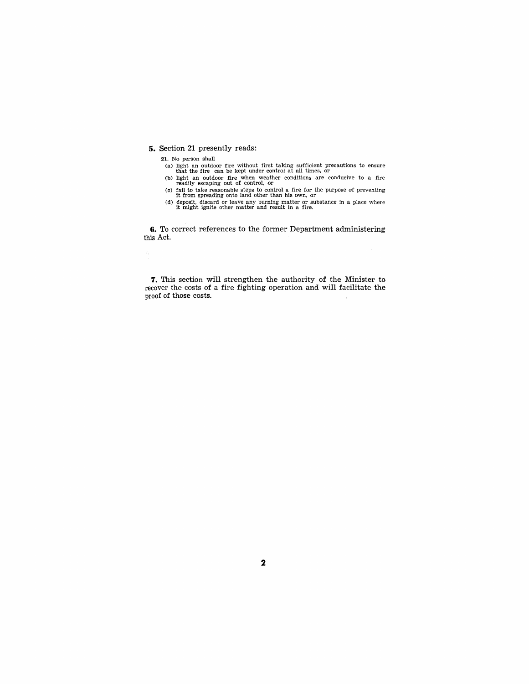#### **5.** Section 21 presently reads:

21. No person shall

 $\hat{x}_i$ 

- (a) light an outdoor fire without first taking sufficient precautions to ensure that the fire can be kept under control at all times, or (b) light an outdoor fire when weather conditions are conducive to a fire readily es
- 
- (c) fail to take reasonable steps to control a fire for the purpose of preventing it from spreading onto land other than his own, or  $(d)$  deposit, discard or leave any burning matter or substance in a place where it might
- 

**6.** To correct references to the former Department administering this Act.

**7.** This section will strengthen the authority of the Minister to recover the costs of a fire fighting operation and will facilitate the proof of those costs.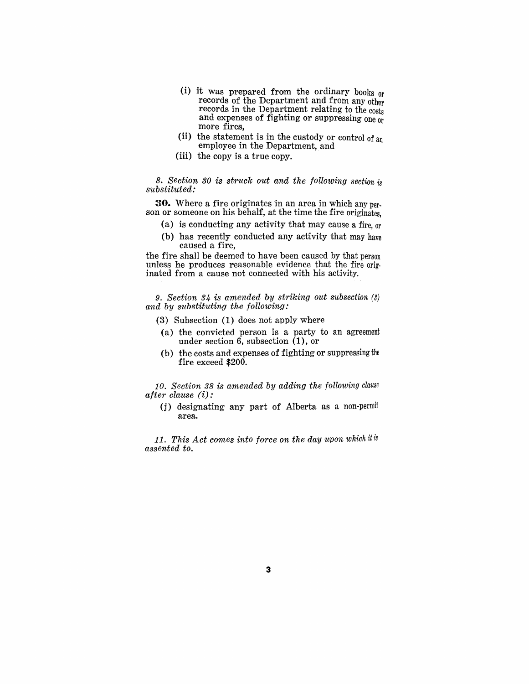- (i) it was prepared from the ordinary books or records of the Department and from any other records in the Department relating to the costs and expenses of fighting or suppressing one or more fires,
- (ii) the statement is in the custody or control of an employee in the Department, and
- (iii) the copy is a true copy.

*8. Section 30* is *struck out and the following section* is *substituted:* 

**30.** Where a fire originates in an area in which any person or someone on his behalf, at the time the fire originates,

- (a) is conducting any activity that may cause a fire, or
- (b) has recently conducted any activity that may have caused a fire,

the fire shall be deemed to have been caused by that person unless he produces reasonable evidence that the fire originated from a cause not connected with his activity.

9. *Section* 34 *is amended by striking out subsection* (3) *and by substituting the following:* 

- (3) Subsection (1) does not apply where
- (a) the convicted person is a party to an agreement under section 6, subsection (1), or
- (b) the costs and expenses of fighting or suppressing the fire exeeed \$200.

10. *Section* 38 *is amended by adding the following clause after clause* (i):

(j) designating any part of Alberta as a non-permit area.

11. This Act comes into force on the day upon which it is *assented to.*